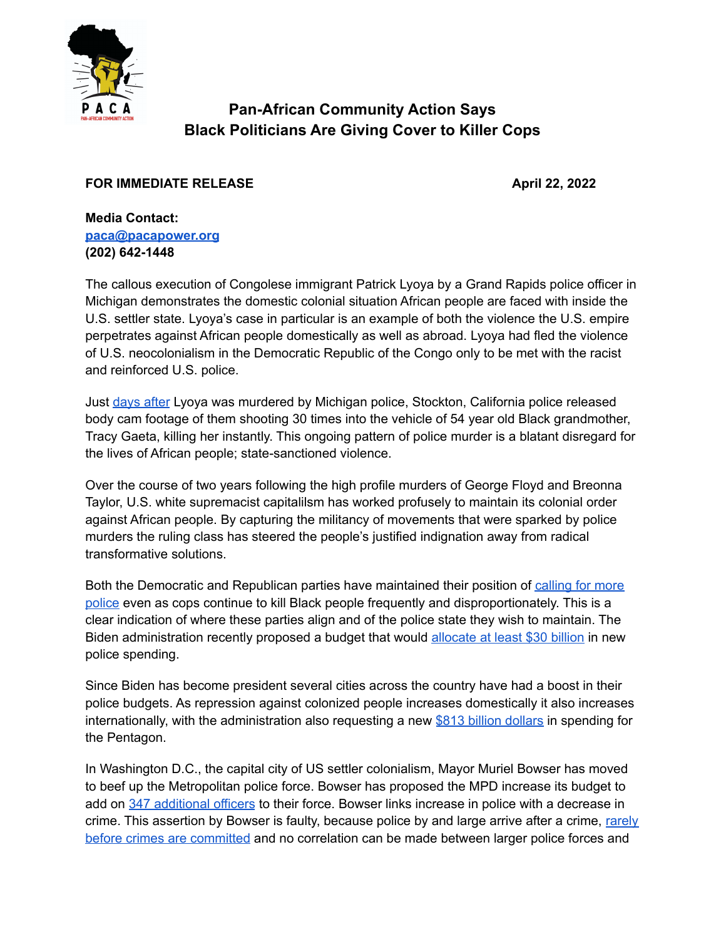

## **Pan-African Community Action Says Black Politicians Are Giving Cover to Killer Cops**

## **FOR IMMEDIATE RELEASE April 22, 2022**

**Media Contact: [paca@pacapower.org](mailto:paca@pacapower.org) (202) 642-1448**

The callous execution of Congolese immigrant Patrick Lyoya by a Grand Rapids police officer in Michigan demonstrates the domestic colonial situation African people are faced with inside the U.S. settler state. Lyoya's case in particular is an example of both the violence the U.S. empire perpetrates against African people domestically as well as abroad. Lyoya had fled the violence of U.S. neocolonialism in the Democratic Republic of the Congo only to be met with the racist and reinforced U.S. police.

Just [days](https://www.blackenterprise.com/stockton-police-fatally-shoots-black-woman-fires-over-30-shots-at-her-car/) after Lyoya was murdered by Michigan police, Stockton, California police released body cam footage of them shooting 30 times into the vehicle of 54 year old Black grandmother, Tracy Gaeta, killing her instantly. This ongoing pattern of police murder is a blatant disregard for the lives of African people; state-sanctioned violence.

Over the course of two years following the high profile murders of George Floyd and Breonna Taylor, U.S. white supremacist capitalilsm has worked profusely to maintain its colonial order against African people. By capturing the militancy of movements that were sparked by police murders the ruling class has steered the people's justified indignation away from radical transformative solutions.

Both the Democratic and Republican parties have maintained their position of [calling](https://www.politico.com/news/2022/03/01/state-of-the-union-2022-fund-police-00013065) for more [police](https://www.politico.com/news/2022/03/01/state-of-the-union-2022-fund-police-00013065) even as cops continue to kill Black people frequently and disproportionately. This is a clear indication of where these parties align and of the police state they wish to maintain. The Biden administration recently proposed a budget that would [allocate](https://www.nbcnews.com/news/nbcblk/bidens-budget-proposal-concerns-organizers-police-violence-rcna22478) at least \$30 billion in new police spending.

Since Biden has become president several cities across the country have had a boost in their police budgets. As repression against colonized people increases domestically it also increases internationally, with the administration also requesting a new \$813 billion [dollars](https://www.politico.com/news/2022/03/28/biden-requests-largest-defense-budget-00020859) in spending for the Pentagon.

In Washington D.C., the capital city of US settler colonialism, Mayor Muriel Bowser has moved to beef up the Metropolitan police force. Bowser has proposed the MPD increase its budget to add on 347 [additional](https://www.washingtonpost.com/dc-md-va/2022/04/04/police-hiring-dc/) officers to their force. Bowser links increase in police with a decrease in crime. This assertion by Bowser is faulty, because police by and large arrive after a crime, [rarely](https://fee.org/articles/just-dial-911-the-myth-of-police-protection) before crimes are [committed](https://fee.org/articles/just-dial-911-the-myth-of-police-protection) and no correlation can be made between larger police forces and